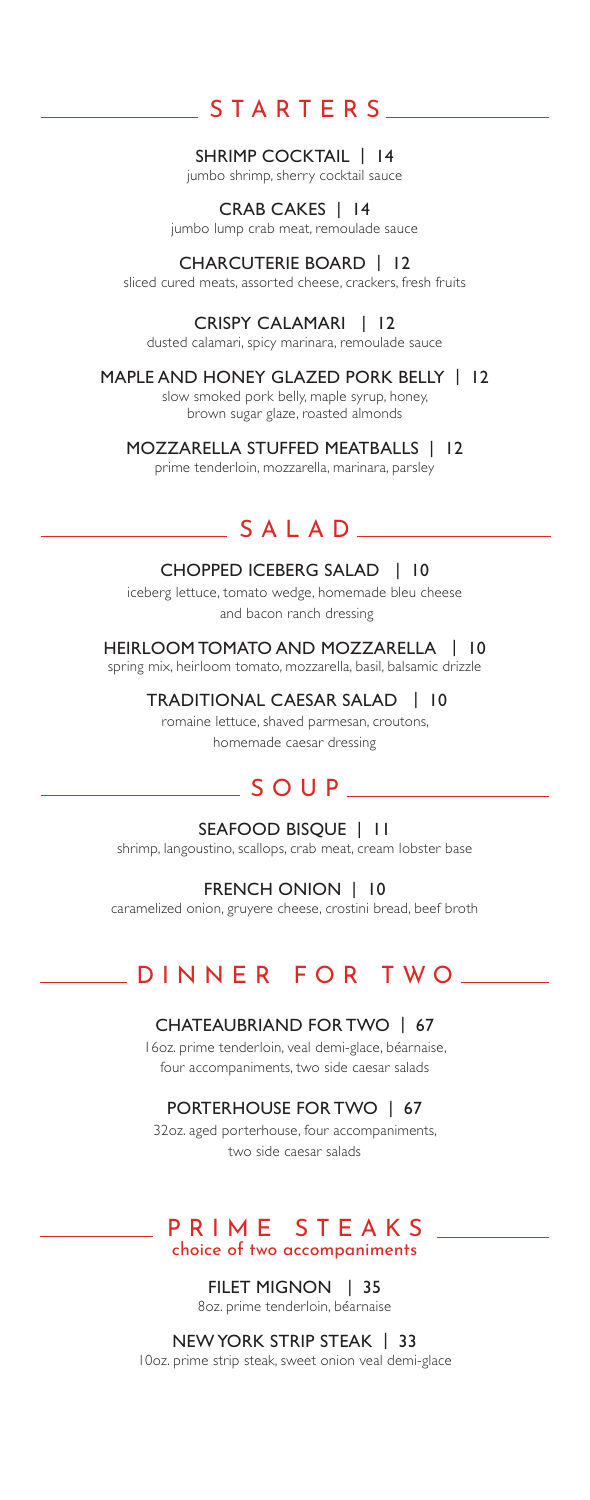# STARTERS

#### SHRIMP COCKTAIL | 14

jumbo shrimp, sherry cocktail sauce

# CRAB CAKES | 14

jumbo lump crab meat, remoulade sauce

### CHARCUTERIE BOARD | 12

sliced cured meats, assorted cheese, crackers, fresh fruits

### CRISPY CALAMARI | 12

dusted calamari, spicy marinara, remoulade sauce

#### MAPLE AND HONEY GLAZED PORK BELLY | 12

slow smoked pork belly, maple syrup, honey, brown sugar glaze, roasted almonds

### MOZZARELLA STUFFED MEATBALLS | 12

prime tenderloin, mozzarella, marinara, parsley

## SALAD

#### CHOPPED ICEBERG SALAD | 10

iceberg lettuce, tomato wedge, homemade bleu cheese and bacon ranch dressing

### HEIRLOOM TOMATO AND MOZZARELLA | 10

spring mix, heirloom tomato, mozzarella, basil, balsamic drizzle

# TRADITIONAL CAESAR SALAD | 10

romaine lettuce, shaved parmesan, croutons, homemade caesar dressing

## $S$  OUP  $-$

SEAFOOD BISQUE | 11 shrimp, langoustino, scallops, crab meat, cream lobster base

### FRENCH ONION | 10

caramelized onion, gruyere cheese, crostini bread, beef broth

# DINNER FOR TWO

### CHATEAUBRIAND FOR TWO | 67

16oz. prime tenderloin, veal demi-glace, béarnaise, four accompaniments, two side caesar salads

### PORTERHOUSE FOR TWO | 67

32oz. aged porterhouse, four accompaniments, two side caesar salads

### PRIME STEAKS choice of two accompaniments

FILET MIGNON | 35 8oz. prime tenderloin, béarnaise

### NEW YORK STRIP STEAK | 33

10oz. prime strip steak, sweet onion veal demi-glace